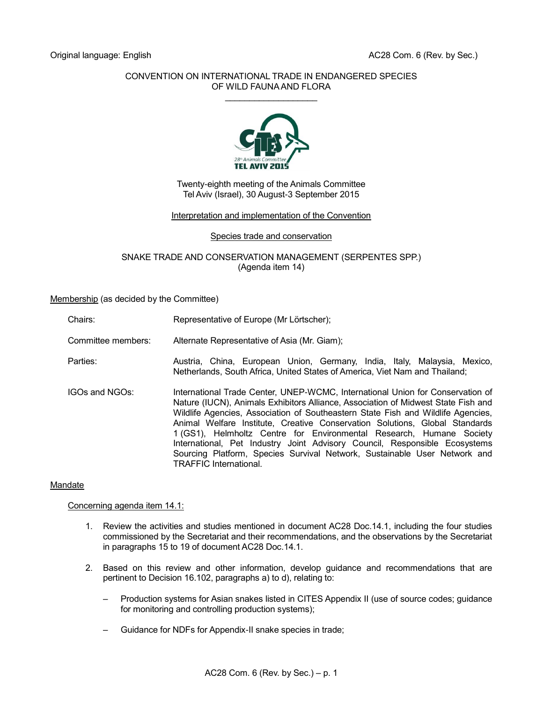# CONVENTION ON INTERNATIONAL TRADE IN ENDANGERED SPECIES OF WILD FAUNA AND FLORA  $\overline{\phantom{a}}$  , where  $\overline{\phantom{a}}$



# Twenty-eighth meeting of the Animals Committee Tel Aviv (Israel), 30 August-3 September 2015

# Interpretation and implementation of the Convention

# Species trade and conservation

#### SNAKE TRADE AND CONSERVATION MANAGEMENT (SERPENTES SPP.) (Agenda item 14)

#### Membership (as decided by the Committee)

- Chairs: Representative of Europe (Mr Lörtscher);
- Committee members: Alternate Representative of Asia (Mr. Giam);
- Parties: Austria, China, European Union, Germany, India, Italy, Malaysia, Mexico, Netherlands, South Africa, United States of America, Viet Nam and Thailand;
- IGOs and NGOs: International Trade Center, UNEP-WCMC, International Union for Conservation of Nature (IUCN), Animals Exhibitors Alliance, Association of Midwest State Fish and Wildlife Agencies, Association of Southeastern State Fish and Wildlife Agencies, Animal Welfare Institute, Creative Conservation Solutions, Global Standards 1 (GS1), Helmholtz Centre for Environmental Research, Humane Society International, Pet Industry Joint Advisory Council, Responsible Ecosystems Sourcing Platform, Species Survival Network, Sustainable User Network and TRAFFIC International.

# Mandate

# Concerning agenda item 14.1:

- 1. Review the activities and studies mentioned in document AC28 Doc.14.1, including the four studies commissioned by the Secretariat and their recommendations, and the observations by the Secretariat in paragraphs 15 to 19 of document AC28 Doc.14.1.
- 2. Based on this review and other information, develop guidance and recommendations that are pertinent to Decision 16.102, paragraphs a) to d), relating to:
	- Production systems for Asian snakes listed in CITES Appendix II (use of source codes; guidance for monitoring and controlling production systems);
	- Guidance for NDFs for Appendix-II snake species in trade;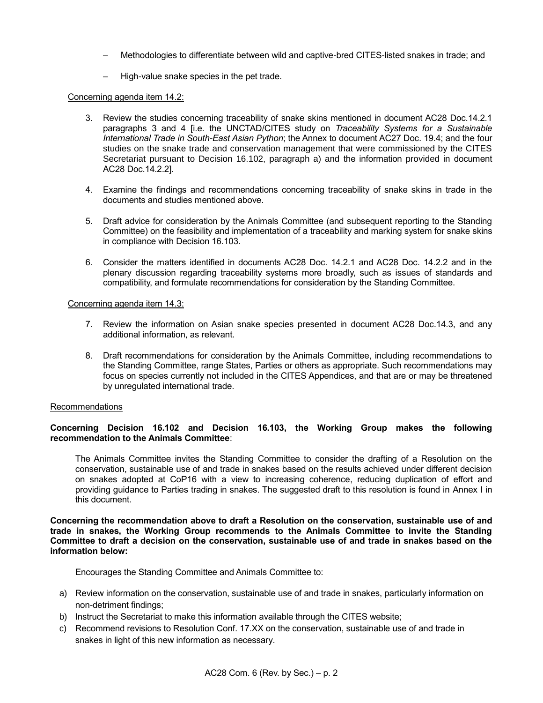- Methodologies to differentiate between wild and captive-bred CITES-listed snakes in trade; and
- High-value snake species in the pet trade.

# Concerning agenda item 14.2:

- 3. Review the studies concerning traceability of snake skins mentioned in document AC28 Doc.14.2.1 paragraphs 3 and 4 [i.e. the UNCTAD/CITES study on *Traceability Systems for a Sustainable International Trade in South-East Asian Python*; the Annex to document AC27 Doc. 19.4; and the four studies on the snake trade and conservation management that were commissioned by the CITES Secretariat pursuant to Decision 16.102, paragraph a) and the information provided in document AC28 Doc.14.2.2].
- 4. Examine the findings and recommendations concerning traceability of snake skins in trade in the documents and studies mentioned above.
- 5. Draft advice for consideration by the Animals Committee (and subsequent reporting to the Standing Committee) on the feasibility and implementation of a traceability and marking system for snake skins in compliance with Decision 16.103.
- 6. Consider the matters identified in documents AC28 Doc. 14.2.1 and AC28 Doc. 14.2.2 and in the plenary discussion regarding traceability systems more broadly, such as issues of standards and compatibility, and formulate recommendations for consideration by the Standing Committee.

# Concerning agenda item 14.3:

- 7. Review the information on Asian snake species presented in document AC28 Doc.14.3, and any additional information, as relevant.
- 8. Draft recommendations for consideration by the Animals Committee, including recommendations to the Standing Committee, range States, Parties or others as appropriate. Such recommendations may focus on species currently not included in the CITES Appendices, and that are or may be threatened by unregulated international trade.

# Recommendations

# **Concerning Decision 16.102 and Decision 16.103, the Working Group makes the following recommendation to the Animals Committee**:

The Animals Committee invites the Standing Committee to consider the drafting of a Resolution on the conservation, sustainable use of and trade in snakes based on the results achieved under different decision on snakes adopted at CoP16 with a view to increasing coherence, reducing duplication of effort and providing guidance to Parties trading in snakes. The suggested draft to this resolution is found in Annex I in this document.

**Concerning the recommendation above to draft a Resolution on the conservation, sustainable use of and trade in snakes, the Working Group recommends to the Animals Committee to invite the Standing Committee to draft a decision on the conservation, sustainable use of and trade in snakes based on the information below:**

Encourages the Standing Committee and Animals Committee to:

- a) Review information on the conservation, sustainable use of and trade in snakes, particularly information on non-detriment findings;
- b) Instruct the Secretariat to make this information available through the CITES website;
- c) Recommend revisions to Resolution Conf. 17.XX on the conservation, sustainable use of and trade in snakes in light of this new information as necessary.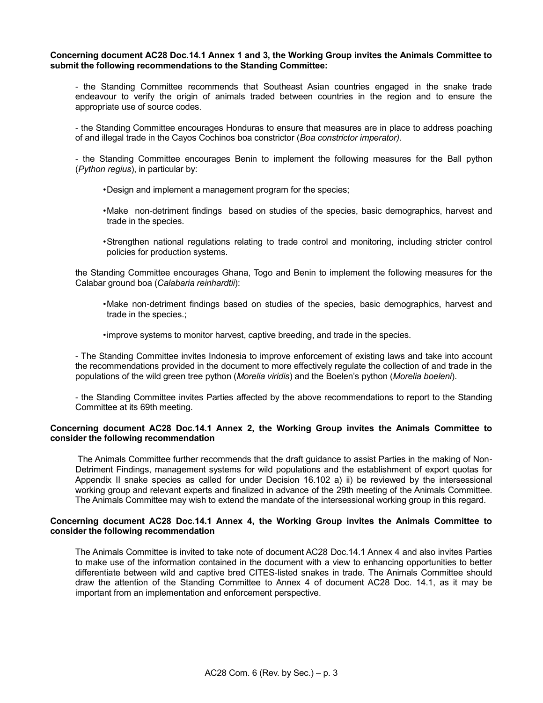#### **Concerning document AC28 Doc.14.1 Annex 1 and 3, the Working Group invites the Animals Committee to submit the following recommendations to the Standing Committee:**

- the Standing Committee recommends that Southeast Asian countries engaged in the snake trade endeavour to verify the origin of animals traded between countries in the region and to ensure the appropriate use of source codes.

- the Standing Committee encourages Honduras to ensure that measures are in place to address poaching of and illegal trade in the Cayos Cochinos boa constrictor (*Boa constrictor imperator).*

- the Standing Committee encourages Benin to implement the following measures for the Ball python (*Python regius*), in particular by:

- •Design and implement a management program for the species;
- •Make non-detriment findings based on studies of the species, basic demographics, harvest and trade in the species.
- •Strengthen national regulations relating to trade control and monitoring, including stricter control policies for production systems.

the Standing Committee encourages Ghana, Togo and Benin to implement the following measures for the Calabar ground boa (*Calabaria reinhardtii*):

- •Make non-detriment findings based on studies of the species, basic demographics, harvest and trade in the species.;
- •improve systems to monitor harvest, captive breeding, and trade in the species.

- The Standing Committee invites Indonesia to improve enforcement of existing laws and take into account the recommendations provided in the document to more effectively regulate the collection of and trade in the populations of the wild green tree python (*Morelia viridis*) and the Boelen's python (*Morelia boeleni*).

- the Standing Committee invites Parties affected by the above recommendations to report to the Standing Committee at its 69th meeting.

# **Concerning document AC28 Doc.14.1 Annex 2, the Working Group invites the Animals Committee to consider the following recommendation**

The Animals Committee further recommends that the draft guidance to assist Parties in the making of Non-Detriment Findings, management systems for wild populations and the establishment of export quotas for Appendix II snake species as called for under Decision 16.102 a) ii) be reviewed by the intersessional working group and relevant experts and finalized in advance of the 29th meeting of the Animals Committee. The Animals Committee may wish to extend the mandate of the intersessional working group in this regard.

# **Concerning document AC28 Doc.14.1 Annex 4, the Working Group invites the Animals Committee to consider the following recommendation**

The Animals Committee is invited to take note of document AC28 Doc.14.1 Annex 4 and also invites Parties to make use of the information contained in the document with a view to enhancing opportunities to better differentiate between wild and captive bred CITES-listed snakes in trade. The Animals Committee should draw the attention of the Standing Committee to Annex 4 of document AC28 Doc. 14.1, as it may be important from an implementation and enforcement perspective.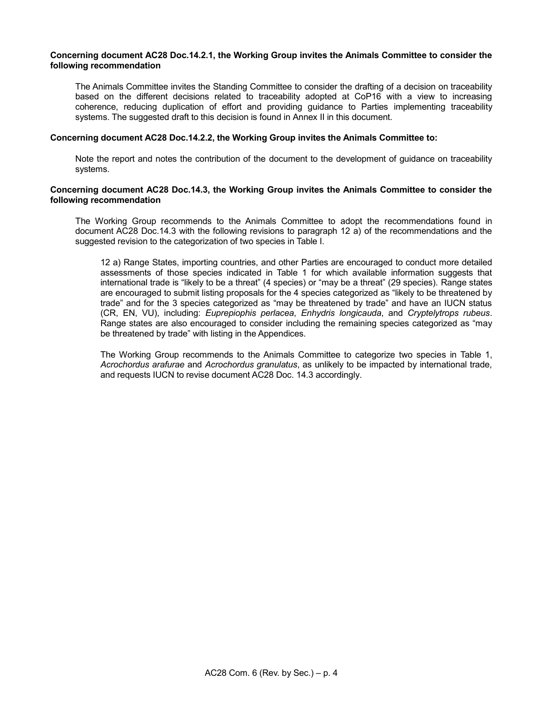#### **Concerning document AC28 Doc.14.2.1, the Working Group invites the Animals Committee to consider the following recommendation**

The Animals Committee invites the Standing Committee to consider the drafting of a decision on traceability based on the different decisions related to traceability adopted at CoP16 with a view to increasing coherence, reducing duplication of effort and providing guidance to Parties implementing traceability systems. The suggested draft to this decision is found in Annex II in this document.

# **Concerning document AC28 Doc.14.2.2, the Working Group invites the Animals Committee to:**

Note the report and notes the contribution of the document to the development of guidance on traceability systems.

#### **Concerning document AC28 Doc.14.3, the Working Group invites the Animals Committee to consider the following recommendation**

The Working Group recommends to the Animals Committee to adopt the recommendations found in document AC28 Doc.14.3 with the following revisions to paragraph 12 a) of the recommendations and the suggested revision to the categorization of two species in Table I.

12 a) Range States, importing countries, and other Parties are encouraged to conduct more detailed assessments of those species indicated in Table 1 for which available information suggests that international trade is "likely to be a threat" (4 species) or "may be a threat" (29 species). Range states are encouraged to submit listing proposals for the 4 species categorized as "likely to be threatened by trade" and for the 3 species categorized as "may be threatened by trade" and have an IUCN status (CR, EN, VU), including: *Euprepiophis perlacea*, *Enhydris longicauda*, and *Cryptelytrops rubeus*. Range states are also encouraged to consider including the remaining species categorized as "may be threatened by trade" with listing in the Appendices.

The Working Group recommends to the Animals Committee to categorize two species in Table 1, *Acrochordus arafurae* and *Acrochordus granulatus*, as unlikely to be impacted by international trade, and requests IUCN to revise document AC28 Doc. 14.3 accordingly.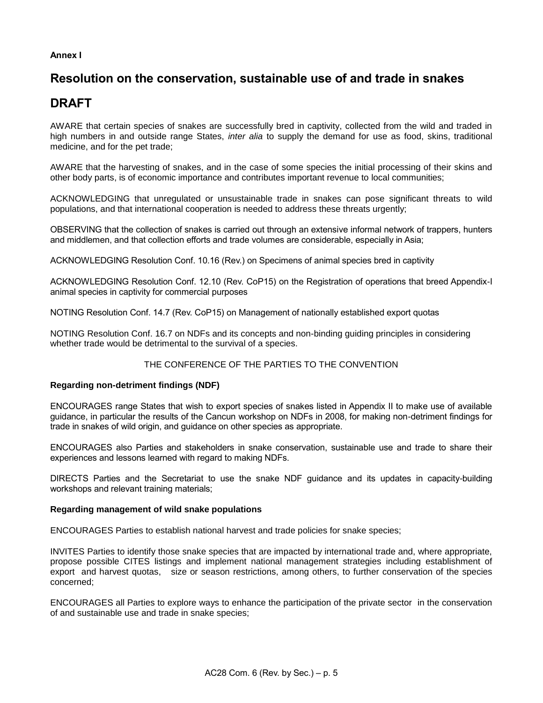# **Annex I**

# **Resolution on the conservation, sustainable use of and trade in snakes**

# **DRAFT**

AWARE that certain species of snakes are successfully bred in captivity, collected from the wild and traded in high numbers in and outside range States, *inter alia* to supply the demand for use as food, skins, traditional medicine, and for the pet trade;

AWARE that the harvesting of snakes, and in the case of some species the initial processing of their skins and other body parts, is of economic importance and contributes important revenue to local communities;

ACKNOWLEDGING that unregulated or unsustainable trade in snakes can pose significant threats to wild populations, and that international cooperation is needed to address these threats urgently;

OBSERVING that the collection of snakes is carried out through an extensive informal network of trappers, hunters and middlemen, and that collection efforts and trade volumes are considerable, especially in Asia;

ACKNOWLEDGING Resolution Conf. 10.16 (Rev.) on Specimens of animal species bred in captivity

ACKNOWLEDGING Resolution Conf. 12.10 (Rev. CoP15) on the Registration of operations that breed Appendix-I animal species in captivity for commercial purposes

NOTING Resolution Conf. 14.7 (Rev. CoP15) on Management of nationally established export quotas

NOTING Resolution Conf. 16.7 on NDFs and its concepts and non-binding guiding principles in considering whether trade would be detrimental to the survival of a species.

# THE CONFERENCE OF THE PARTIES TO THE CONVENTION

# **Regarding non-detriment findings (NDF)**

ENCOURAGES range States that wish to export species of snakes listed in Appendix II to make use of available guidance, in particular the results of the Cancun workshop on NDFs in 2008, for making non-detriment findings for trade in snakes of wild origin, and guidance on other species as appropriate.

ENCOURAGES also Parties and stakeholders in snake conservation, sustainable use and trade to share their experiences and lessons learned with regard to making NDFs.

DIRECTS Parties and the Secretariat to use the snake NDF guidance and its updates in capacity-building workshops and relevant training materials;

# **Regarding management of wild snake populations**

ENCOURAGES Parties to establish national harvest and trade policies for snake species;

INVITES Parties to identify those snake species that are impacted by international trade and, where appropriate, propose possible CITES listings and implement national management strategies including establishment of export and harvest quotas, size or season restrictions, among others, to further conservation of the species concerned;

ENCOURAGES all Parties to explore ways to enhance the participation of the private sector in the conservation of and sustainable use and trade in snake species;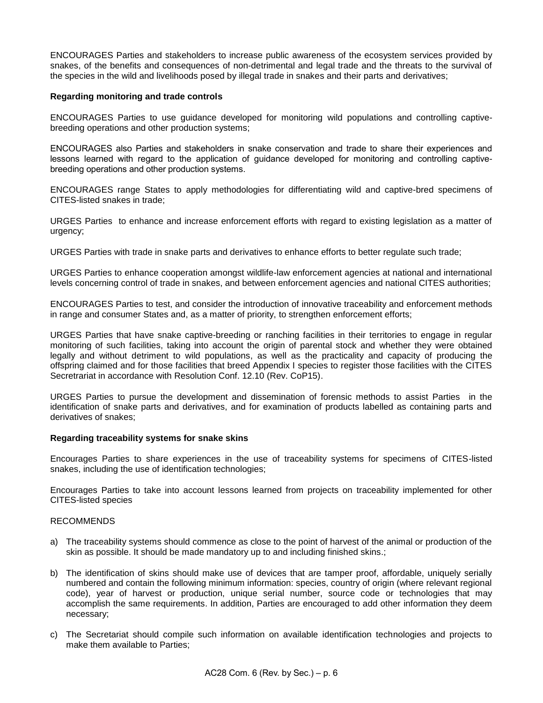ENCOURAGES Parties and stakeholders to increase public awareness of the ecosystem services provided by snakes, of the benefits and consequences of non-detrimental and legal trade and the threats to the survival of the species in the wild and livelihoods posed by illegal trade in snakes and their parts and derivatives;

#### **Regarding monitoring and trade controls**

ENCOURAGES Parties to use guidance developed for monitoring wild populations and controlling captivebreeding operations and other production systems;

ENCOURAGES also Parties and stakeholders in snake conservation and trade to share their experiences and lessons learned with regard to the application of guidance developed for monitoring and controlling captivebreeding operations and other production systems.

ENCOURAGES range States to apply methodologies for differentiating wild and captive-bred specimens of CITES-listed snakes in trade;

URGES Parties to enhance and increase enforcement efforts with regard to existing legislation as a matter of urgency;

URGES Parties with trade in snake parts and derivatives to enhance efforts to better regulate such trade;

URGES Parties to enhance cooperation amongst wildlife-law enforcement agencies at national and international levels concerning control of trade in snakes, and between enforcement agencies and national CITES authorities;

ENCOURAGES Parties to test, and consider the introduction of innovative traceability and enforcement methods in range and consumer States and, as a matter of priority, to strengthen enforcement efforts;

URGES Parties that have snake captive-breeding or ranching facilities in their territories to engage in regular monitoring of such facilities, taking into account the origin of parental stock and whether they were obtained legally and without detriment to wild populations, as well as the practicality and capacity of producing the offspring claimed and for those facilities that breed Appendix I species to register those facilities with the CITES Secretrariat in accordance with Resolution Conf. 12.10 (Rev. CoP15).

URGES Parties to pursue the development and dissemination of forensic methods to assist Parties in the identification of snake parts and derivatives, and for examination of products labelled as containing parts and derivatives of snakes;

# **Regarding traceability systems for snake skins**

Encourages Parties to share experiences in the use of traceability systems for specimens of CITES-listed snakes, including the use of identification technologies;

Encourages Parties to take into account lessons learned from projects on traceability implemented for other CITES-listed species

# RECOMMENDS

- a) The traceability systems should commence as close to the point of harvest of the animal or production of the skin as possible. It should be made mandatory up to and including finished skins.;
- b) The identification of skins should make use of devices that are tamper proof, affordable, uniquely serially numbered and contain the following minimum information: species, country of origin (where relevant regional code), year of harvest or production, unique serial number, source code or technologies that may accomplish the same requirements. In addition, Parties are encouraged to add other information they deem necessary;
- c) The Secretariat should compile such information on available identification technologies and projects to make them available to Parties;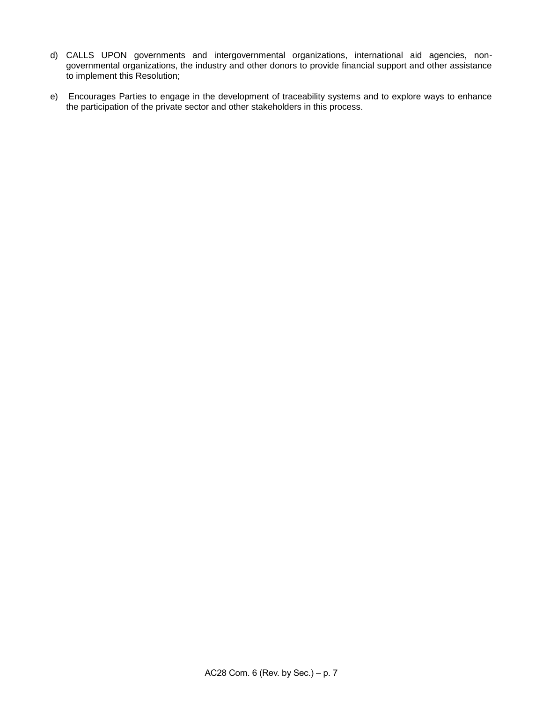- d) CALLS UPON governments and intergovernmental organizations, international aid agencies, nongovernmental organizations, the industry and other donors to provide financial support and other assistance to implement this Resolution;
- e) Encourages Parties to engage in the development of traceability systems and to explore ways to enhance the participation of the private sector and other stakeholders in this process.